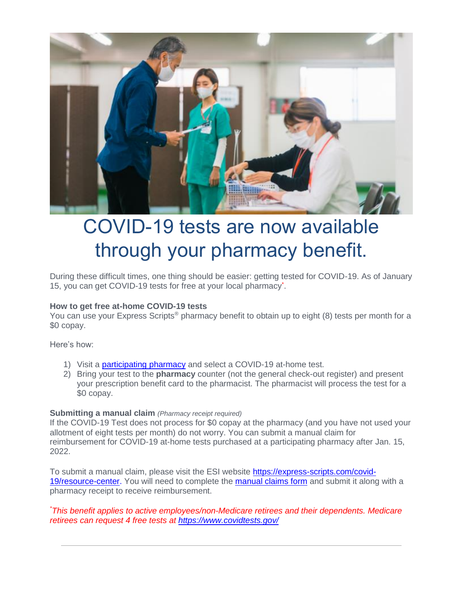

# COVID-19 tests are now available through your pharmacy benefit.

During these difficult times, one thing should be easier: getting tested for COVID-19. As of January 15, you can get COVID-19 tests for free at your local pharmacy<sup>\*</sup>.

## **How to get free at-home COVID-19 tests**

You can use your Express Scripts<sup>®</sup> pharmacy benefit to obtain up to eight (8) tests per month for a \$0 copay.

Here's how:

- 1) Visit a [participating](https://www.express-scripts.com/?routingPage=consumer/mybenefits/pl.jsp&CID=) pharmacy and select a COVID-19 at-home test.
- 2) Bring your test to the **pharmacy** counter (not the general check-out register) and present your prescription benefit card to the pharmacist. The pharmacist will process the test for a \$0 copay.

#### **Submitting a manual claim** *(Pharmacy receipt required)*

If the COVID-19 Test does not process for \$0 copay at the pharmacy (and you have not used your allotment of eight tests per month) do not worry. You can submit a manual claim for reimbursement for COVID-19 at-home tests purchased at a participating pharmacy after Jan. 15, 2022.

To submit a manual claim, please visit the ESI website [https://express-scripts.com/covid-](https://express-scripts.com/covid-19/resource-center)[19/resource-center.](https://express-scripts.com/covid-19/resource-center) You will need to complete the [manual claims form](https://info.groupbenefits.org/docs/OGBforms/Members/Direct%20Claim%20Form.pdf) and submit it along with a pharmacy receipt to receive reimbursement.

## *\*This benefit applies to active employees/non-Medicare retirees and their dependents. Medicare retirees can request 4 free tests at<https://www.covidtests.gov/>*